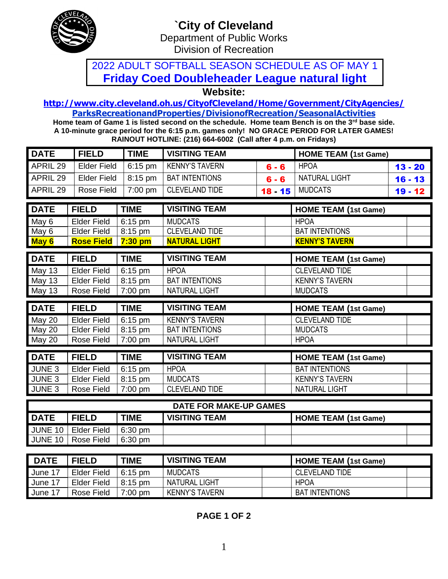

## **`City of Cleveland** Department of Public Works

Division of Recreation

## 2022 ADULT SOFTBALL SEASON SCHEDULE AS OF MAY 1 **Friday Coed Doubleheader League natural light**

**Website:** 

#### **<http://www.city.cleveland.oh.us/CityofCleveland/Home/Government/CityAgencies/> ParksRecreationandProperties/DivisionofRecreation/SeasonalActivities**

**Home team of Game 1 is listed second on the schedule. Home team Bench is on the 3rd base side. A 10-minute grace period for the 6:15 p.m. games only! NO GRACE PERIOD FOR LATER GAMES! RAINOUT HOTLINE: (216) 664-6002 (Call after 4 p.m. on Fridays)**

| <b>DATE</b>    | <b>FIELD</b>                             | <b>TIME</b>           | <b>VISITING TEAM</b>          |           | <b>HOME TEAM (1st Game)</b> |           |
|----------------|------------------------------------------|-----------------------|-------------------------------|-----------|-----------------------------|-----------|
| APRIL 29       | <b>Elder Field</b>                       | $6:15$ pm             | <b>KENNY'S TAVERN</b>         | $6 - 6$   | <b>HPOA</b>                 | $13 - 20$ |
| APRIL 29       | <b>Elder Field</b>                       | 8:15 pm               | <b>BAT INTENTIONS</b>         | $6 - 6$   | <b>NATURAL LIGHT</b>        | $16 - 13$ |
| APRIL 29       | <b>Rose Field</b>                        | 7:00 pm               | <b>CLEVELAND TIDE</b>         | $18 - 15$ | <b>MUDCATS</b>              | $19 - 12$ |
| <b>DATE</b>    | <b>FIELD</b>                             | <b>TIME</b>           | <b>VISITING TEAM</b>          |           | <b>HOME TEAM (1st Game)</b> |           |
|                |                                          |                       | <b>MUDCATS</b>                |           | <b>HPOA</b>                 |           |
| May 6          | <b>Elder Field</b><br><b>Elder Field</b> | 6:15 pm               | <b>CLEVELAND TIDE</b>         |           | <b>BAT INTENTIONS</b>       |           |
| May 6          | <b>Rose Field</b>                        | 8:15 pm<br>$7:30$ pm  | <b>NATURAL LIGHT</b>          |           | <b>KENNY'S TAVERN</b>       |           |
| May 6          |                                          |                       |                               |           |                             |           |
| <b>DATE</b>    | <b>FIELD</b>                             | <b>TIME</b>           | <b>VISITING TEAM</b>          |           | <b>HOME TEAM (1st Game)</b> |           |
| May 13         | <b>Elder Field</b>                       | $6:15$ pm             | <b>HPOA</b>                   |           | <b>CLEVELAND TIDE</b>       |           |
| May 13         | <b>Elder Field</b>                       | 8:15 pm               | <b>BAT INTENTIONS</b>         |           | <b>KENNY'S TAVERN</b>       |           |
| May 13         | <b>Rose Field</b>                        | $7:00$ pm             | <b>NATURAL LIGHT</b>          |           | <b>MUDCATS</b>              |           |
|                |                                          |                       |                               |           |                             |           |
|                |                                          |                       |                               |           |                             |           |
| <b>DATE</b>    | <b>FIELD</b>                             | <b>TIME</b>           | <b>VISITING TEAM</b>          |           | <b>HOME TEAM (1st Game)</b> |           |
| May 20         | <b>Elder Field</b>                       | $\overline{6}$ :15 pm | <b>KENNY'S TAVERN</b>         |           | <b>CLEVELAND TIDE</b>       |           |
| May 20         | <b>Elder Field</b>                       | 8:15 pm               | <b>BAT INTENTIONS</b>         |           | <b>MUDCATS</b>              |           |
| May 20         | Rose Field                               | $7:00$ pm             | <b>NATURAL LIGHT</b>          |           | <b>HPOA</b>                 |           |
| <b>DATE</b>    | <b>FIELD</b>                             | <b>TIME</b>           | <b>VISITING TEAM</b>          |           | <b>HOME TEAM (1st Game)</b> |           |
| JUNE 3         | <b>Elder Field</b>                       | 6:15 pm               | <b>HPOA</b>                   |           | <b>BAT INTENTIONS</b>       |           |
| JUNE 3         | <b>Elder Field</b>                       | 8:15 pm               | <b>MUDCATS</b>                |           | <b>KENNY'S TAVERN</b>       |           |
| JUNE 3         | Rose Field                               | 7:00 pm               | <b>CLEVELAND TIDE</b>         |           | <b>NATURAL LIGHT</b>        |           |
|                |                                          |                       | <b>DATE FOR MAKE-UP GAMES</b> |           |                             |           |
| <b>DATE</b>    | <b>FIELD</b>                             | <b>TIME</b>           | <b>VISITING TEAM</b>          |           |                             |           |
| <b>JUNE 10</b> | <b>Elder Field</b>                       | 6:30 pm               |                               |           | <b>HOME TEAM (1st Game)</b> |           |

| <b>DATE</b> | <b>FIELD</b> | <b>TIME</b>       | <b>VISITING TEAM</b> | HOME TEAM (1st Game)  |
|-------------|--------------|-------------------|----------------------|-----------------------|
| June 17     | Elder Field  | $6:15 \text{ pm}$ | MUDCATS              | CLEVELAND TIDE        |
| June 17     | Elder Field  | $8:15$ pm         | NATURAL LIGHT        | <b>HPOA</b>           |
| June 17     | Rose Field   | $7:00 \text{ pm}$ | KENNY'S TAVERN       | <b>BAT INTENTIONS</b> |